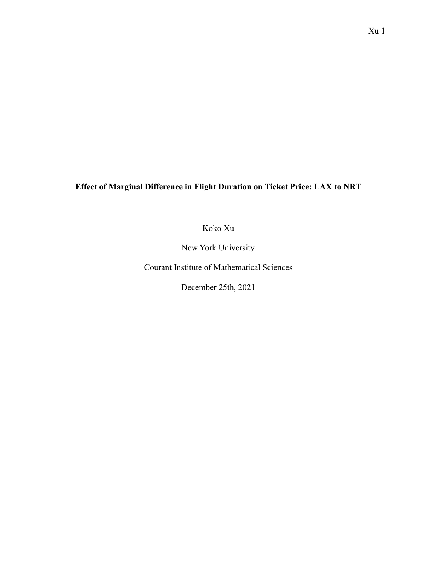**Effect of Marginal Difference in Flight Duration on Ticket Price: LAX to NRT**

Koko Xu

New York University

Courant Institute of Mathematical Sciences

December 25th, 2021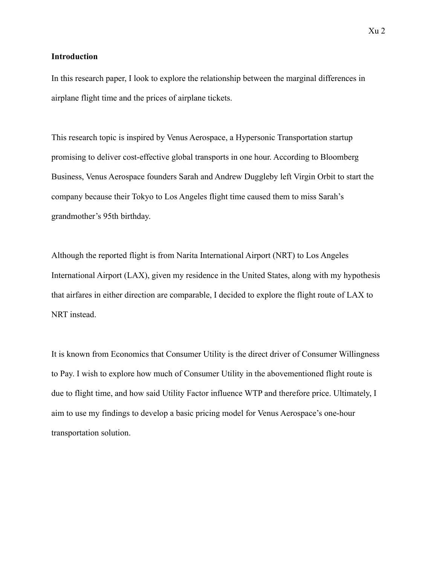### **Introduction**

In this research paper, I look to explore the relationship between the marginal differences in airplane flight time and the prices of airplane tickets.

This research topic is inspired by Venus Aerospace, a Hypersonic Transportation startup promising to deliver cost-effective global transports in one hour. According to Bloomberg Business, Venus Aerospace founders Sarah and Andrew Duggleby left Virgin Orbit to start the company because their Tokyo to Los Angeles flight time caused them to miss Sarah's grandmother's 95th birthday.

Although the reported flight is from Narita International Airport (NRT) to Los Angeles International Airport (LAX), given my residence in the United States, along with my hypothesis that airfares in either direction are comparable, I decided to explore the flight route of LAX to NRT instead.

It is known from Economics that Consumer Utility is the direct driver of Consumer Willingness to Pay. I wish to explore how much of Consumer Utility in the abovementioned flight route is due to flight time, and how said Utility Factor influence WTP and therefore price. Ultimately, I aim to use my findings to develop a basic pricing model for Venus Aerospace's one-hour transportation solution.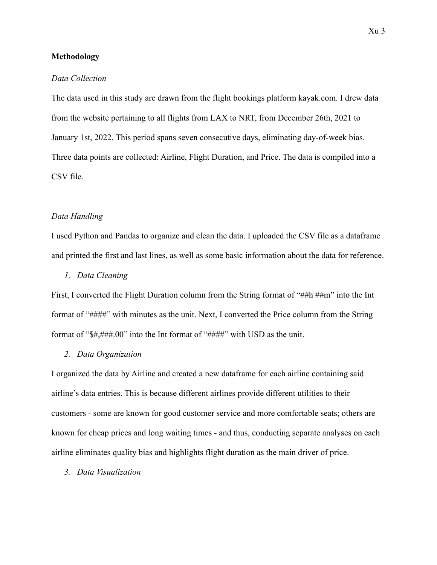### **Methodology**

### *Data Collection*

The data used in this study are drawn from the flight bookings platform kayak.com. I drew data from the website pertaining to all flights from LAX to NRT, from December 26th, 2021 to January 1st, 2022. This period spans seven consecutive days, eliminating day-of-week bias. Three data points are collected: Airline, Flight Duration, and Price. The data is compiled into a CSV file.

### *Data Handling*

I used Python and Pandas to organize and clean the data. I uploaded the CSV file as a dataframe and printed the first and last lines, as well as some basic information about the data for reference.

### *1. Data Cleaning*

First, I converted the Flight Duration column from the String format of "##h ##m" into the Int format of "####" with minutes as the unit. Next, I converted the Price column from the String format of "\$#,###.00" into the Int format of "####" with USD as the unit.

## *2. Data Organization*

I organized the data by Airline and created a new dataframe for each airline containing said airline's data entries. This is because different airlines provide different utilities to their customers - some are known for good customer service and more comfortable seats; others are known for cheap prices and long waiting times - and thus, conducting separate analyses on each airline eliminates quality bias and highlights flight duration as the main driver of price.

### *3. Data Visualization*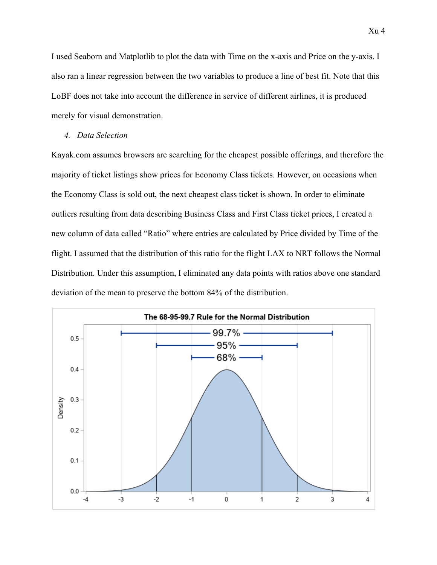I used Seaborn and Matplotlib to plot the data with Time on the x-axis and Price on the y-axis. I also ran a linear regression between the two variables to produce a line of best fit. Note that this LoBF does not take into account the difference in service of different airlines, it is produced merely for visual demonstration.

#### *4. Data Selection*

Kayak.com assumes browsers are searching for the cheapest possible offerings, and therefore the majority of ticket listings show prices for Economy Class tickets. However, on occasions when the Economy Class is sold out, the next cheapest class ticket is shown. In order to eliminate outliers resulting from data describing Business Class and First Class ticket prices, I created a new column of data called "Ratio" where entries are calculated by Price divided by Time of the flight. I assumed that the distribution of this ratio for the flight LAX to NRT follows the Normal Distribution. Under this assumption, I eliminated any data points with ratios above one standard deviation of the mean to preserve the bottom 84% of the distribution.

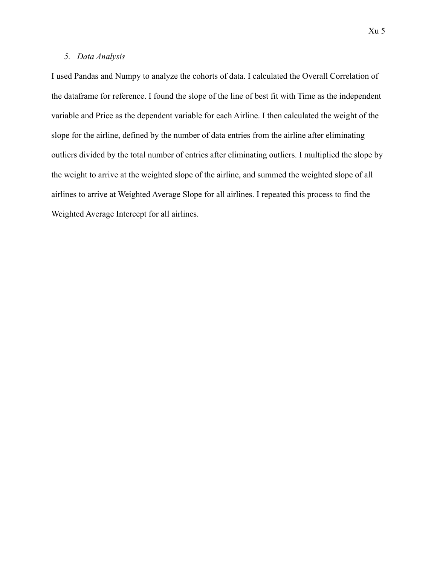### *5. Data Analysis*

I used Pandas and Numpy to analyze the cohorts of data. I calculated the Overall Correlation of the dataframe for reference. I found the slope of the line of best fit with Time as the independent variable and Price as the dependent variable for each Airline. I then calculated the weight of the slope for the airline, defined by the number of data entries from the airline after eliminating outliers divided by the total number of entries after eliminating outliers. I multiplied the slope by the weight to arrive at the weighted slope of the airline, and summed the weighted slope of all airlines to arrive at Weighted Average Slope for all airlines. I repeated this process to find the Weighted Average Intercept for all airlines.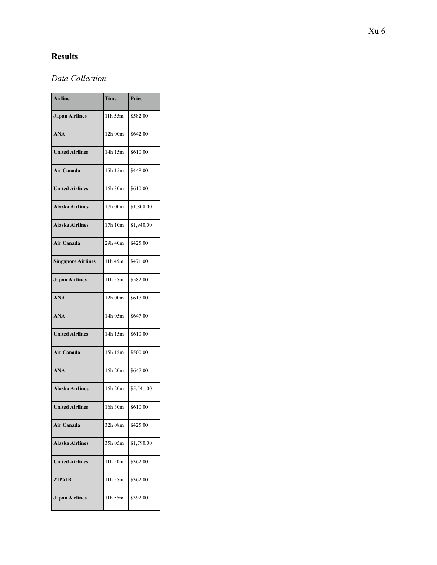# **Results**

## *Data Collection*

| <b>Airline</b>            | Time    | Price      |
|---------------------------|---------|------------|
| <b>Japan Airlines</b>     | 11h 55m | \$582.00   |
| <b>ANA</b>                | 12h 00m | \$642.00   |
| <b>United Airlines</b>    | 14h 15m | \$610.00   |
| Air Canada                | 15h 15m | \$448.00   |
| <b>United Airlines</b>    | 16h 30m | \$610.00   |
| <b>Alaska Airlines</b>    | 17h 00m | \$1,808.00 |
| <b>Alaska Airlines</b>    | 17h 10m | \$1,940.00 |
| Air Canada                | 29h 40m | \$425.00   |
| <b>Singapore Airlines</b> | 11h 45m | \$471.00   |
| <b>Japan Airlines</b>     | 11h 55m | \$582.00   |
| <b>ANA</b>                | 12h 00m | \$617.00   |
| <b>ANA</b>                | 14h 05m | \$647.00   |
| <b>United Airlines</b>    | 14h 15m | \$610.00   |
| Air Canada                | 15h 15m | \$500.00   |
| <b>ANA</b>                | 16h 20m | \$647.00   |
| <b>Alaska Airlines</b>    | 16h 20m | \$5,541.00 |
| <b>United Airlines</b>    | 16h 30m | \$610.00   |
| Air Canada                | 32h 08m | \$425.00   |
| <b>Alaska Airlines</b>    | 35h 05m | \$1,790.00 |
| <b>United Airlines</b>    | 11h 50m | \$362.00   |
| <b>ZIPAIR</b>             | 11h 55m | \$362.00   |
| <b>Japan Airlines</b>     | 11h 55m | \$392.00   |
|                           |         |            |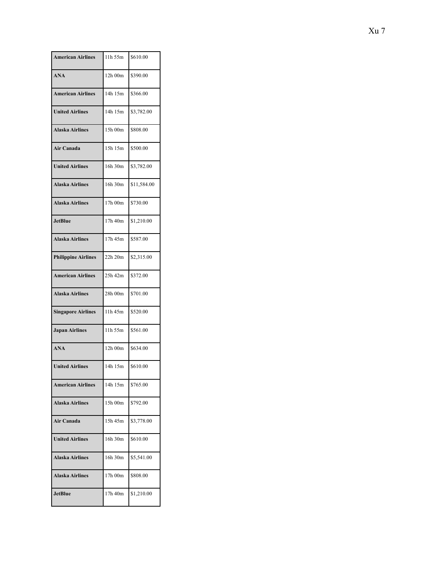| <b>American Airlines</b>   | 11h 55m | \$610.00    |
|----------------------------|---------|-------------|
| <b>ANA</b>                 | 12h 00m | \$390.00    |
| <b>American Airlines</b>   | 14h 15m | \$366.00    |
| <b>United Airlines</b>     | 14h 15m | \$3,782.00  |
| <b>Alaska Airlines</b>     | 15h 00m | \$808.00    |
| Air Canada                 | 15h 15m | \$500.00    |
| <b>United Airlines</b>     | 16h 30m | \$3,782.00  |
| <b>Alaska Airlines</b>     | 16h 30m | \$11,584.00 |
| <b>Alaska Airlines</b>     | 17h 00m | \$730.00    |
| <b>JetBlue</b>             | 17h 40m | \$1,210.00  |
| <b>Alaska Airlines</b>     | 17h 45m | \$587.00    |
| <b>Philippine Airlines</b> | 22h 20m | \$2,315.00  |
| <b>American Airlines</b>   | 25h 42m | \$372.00    |
| <b>Alaska Airlines</b>     | 28h 00m | \$701.00    |
| <b>Singapore Airlines</b>  | 11h 45m | \$520.00    |
| <b>Japan Airlines</b>      | 11h 55m | \$561.00    |
| <b>ANA</b>                 | 12h 00m | \$634.00    |
| <b>United Airlines</b>     | 14h 15m | \$610.00    |
| <b>American Airlines</b>   | 14h 15m | \$765.00    |
| <b>Alaska Airlines</b>     | 15h 00m | \$792.00    |
| Air Canada                 | 15h 45m | \$3,778.00  |
| <b>United Airlines</b>     | 16h 30m | \$610.00    |
| <b>Alaska Airlines</b>     | 16h 30m | \$5,541.00  |
| <b>Alaska Airlines</b>     | 17h 00m | \$808.00    |
| <b>JetBlue</b>             | 17h 40m | \$1,210.00  |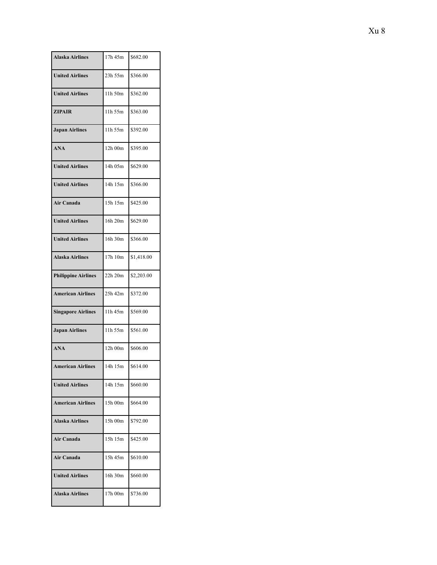| <b>Alaska Airlines</b>     | 17h 45m | \$682.00   |
|----------------------------|---------|------------|
| <b>United Airlines</b>     | 23h 55m | \$366.00   |
| <b>United Airlines</b>     | 11h 50m | \$362.00   |
| <b>ZIPAIR</b>              | 11h 55m | \$363.00   |
| <b>Japan Airlines</b>      | 11h 55m | \$392.00   |
| <b>ANA</b>                 | 12h 00m | \$395.00   |
| <b>United Airlines</b>     | 14h 05m | \$629.00   |
| <b>United Airlines</b>     | 14h 15m | \$366.00   |
| Air Canada                 | 15h 15m | \$425.00   |
| <b>United Airlines</b>     | 16h 20m | \$629.00   |
| <b>United Airlines</b>     | 16h 30m | \$366.00   |
| <b>Alaska Airlines</b>     | 17h 10m | \$1,418.00 |
| <b>Philippine Airlines</b> | 22h 20m | \$2,203.00 |
| <b>American Airlines</b>   | 25h 42m | \$372.00   |
| <b>Singapore Airlines</b>  | 11h 45m | \$569.00   |
| <b>Japan Airlines</b>      | 11h 55m | \$561.00   |
| <b>ANA</b>                 | 12h 00m | \$606.00   |
| <b>American Airlines</b>   | 14h 15m | \$614.00   |
| <b>United Airlines</b>     | 14h 15m | \$660.00   |
| <b>American Airlines</b>   | 15h 00m | \$664.00   |
| <b>Alaska Airlines</b>     | 15h 00m | \$792.00   |
| Air Canada                 | 15h 15m | \$425.00   |
| <b>Air Canada</b>          | 15h 45m | \$610.00   |
| <b>United Airlines</b>     | 16h 30m | \$660.00   |
| <b>Alaska Airlines</b>     | 17h 00m | \$736.00   |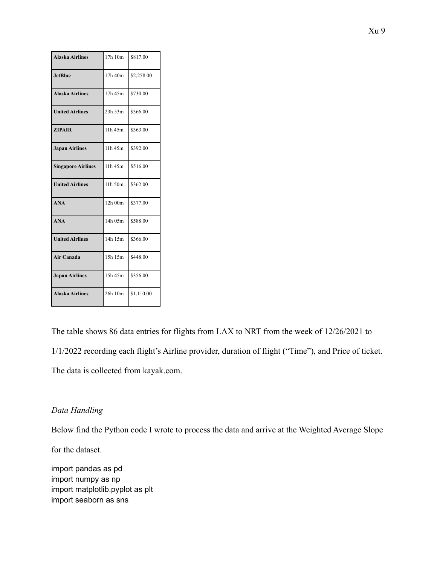| <b>Alaska Airlines</b>    | 17h 10m | \$817.00   |
|---------------------------|---------|------------|
| <b>JetBlue</b>            | 17h 40m | \$2,258.00 |
| <b>Alaska Airlines</b>    | 17h 45m | \$730.00   |
| <b>United Airlines</b>    | 23h 53m | \$366.00   |
| <b>ZIPAIR</b>             | 11h 45m | \$363.00   |
| <b>Japan Airlines</b>     | 11h 45m | \$392.00   |
| <b>Singapore Airlines</b> | 11h 45m | \$516.00   |
| <b>United Airlines</b>    | 11h 50m | \$362.00   |
| <b>ANA</b>                | 12h 00m | \$377.00   |
| <b>ANA</b>                | 14h 05m | \$588.00   |
| <b>United Airlines</b>    | 14h 15m | \$366.00   |
| Air Canada                | 15h 15m | \$448.00   |
| <b>Japan Airlines</b>     | 15h 45m | \$356.00   |
| <b>Alaska Airlines</b>    | 26h 10m | \$1,110.00 |

The table shows 86 data entries for flights from LAX to NRT from the week of 12/26/2021 to 1/1/2022 recording each flight's Airline provider, duration of flight ("Time"), and Price of ticket. The data is collected from kayak.com.

## *Data Handling*

Below find the Python code I wrote to process the data and arrive at the Weighted Average Slope

for the dataset.

import pandas as pd import numpy as np import matplotlib.pyplot as plt import seaborn as sns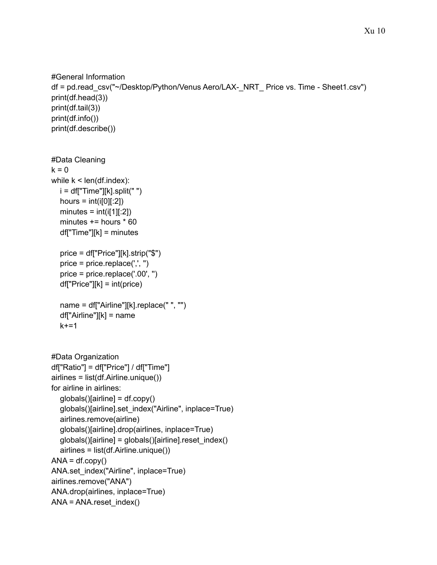```
#General Information
df = pd.read_csv("~/Desktop/Python/Venus Aero/LAX-_NRT_ Price vs. Time - Sheet1.csv")
print(df.head(3))
print(df.tail(3))
print(df.info())
print(df.describe())
#Data Cleaning
k = 0while k < len(df.index):
  i = df['Time'][k].split("")hours = int(i[0][:2])minutes = int(i[1][:2])minutes += hours * 60
  df["Time"][k] = minutes
  price = df["Price"][k].strip("$")
  price = price.replace(',', '')
  price = price.replace('.00', '')
  df['Price''][k] = int(price)name = df["Airline"][k].replace(" ", "")
  df["Airline"][k] = name
  k+1#Data Organization
df["Ratio"] = df["Price"] / df["Time"]
airlines = list(df.Airline.unique())
for airline in airlines:
  globals()[airline] = df.copy()
  globals()[airline].set_index("Airline", inplace=True)
  airlines.remove(airline)
  globals()[airline].drop(airlines, inplace=True)
  globals()[airline] = globals()[airline].reset_index()
  airlines = list(df.Airline.unique())
ANA = df.copy()ANA.set_index("Airline", inplace=True)
airlines.remove("ANA")
ANA.drop(airlines, inplace=True)
ANA = ANA.reset_index()
```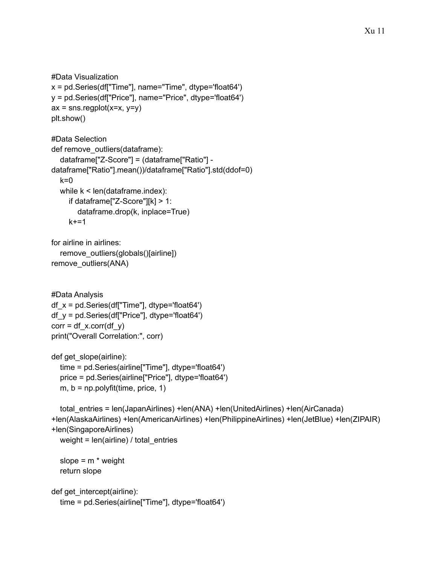```
#Data Visualization
x = pd.Series(df["Time"], name="Time", dtype='float64')
y = pd.Series(df["Price"], name="Price", dtype='float64')
ax =sns.regplot(x=x, y=y)plt.show()
```

```
#Data Selection
def remove_outliers(dataframe):
  dataframe["Z-Score"] = (dataframe["Ratio"] -
dataframe["Ratio"].mean())/dataframe["Ratio"].std(ddof=0)
  k=0while k < len(dataframe.index):
     if dataframe["Z-Score"][k] > 1:
       dataframe.drop(k, inplace=True)
    k+=1
```

```
for airline in airlines:
  remove_outliers(globals()[airline])
remove_outliers(ANA)
```

```
#Data Analysis
df_x = pd.Series(df["Time"], dtype='float64')
df_y = pd.Series(df["Price"], dtype='float64')
corr = df_x.corr(df_y)print("Overall Correlation:", corr)
```

```
def get_slope(airline):
  time = pd.Series(airline["Time"], dtype='float64')
  price = pd.Series(airline["Price"], dtype='float64')
  m, b = np.polyfit(time, price, 1)
```

```
total_entries = len(JapanAirlines) +len(ANA) +len(UnitedAirlines) +len(AirCanada)
+len(AlaskaAirlines) +len(AmericanAirlines) +len(PhilippineAirlines) +len(JetBlue) +len(ZIPAIR)
+len(SingaporeAirlines)
  weight = len(airline) / total entries
```

```
slope = m * weightreturn slope
```

```
def get intercept(airline):
  time = pd.Series(airline["Time"], dtype='float64')
```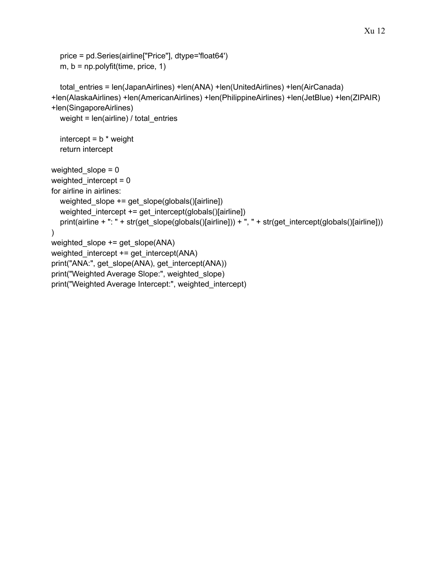```
price = pd.Series(airline["Price"], dtype='float64')
  m, b = np.polyfit(time, price, 1)total_entries = len(JapanAirlines) +len(ANA) +len(UnitedAirlines) +len(AirCanada)
+len(AlaskaAirlines) +len(AmericanAirlines) +len(PhilippineAirlines) +len(JetBlue) +len(ZIPAIR)
+len(SingaporeAirlines)
  weight = len(airline) / total_entries
  intercept = b * weightreturn intercept
weighted slope = 0weighted_intercept = 0
for airline in airlines:
  weighted slope += get slope(globals()[airline])
  weighted_intercept += get_intercept(globals()[airline])
  print(airline + ": " + str(get_slope(globals()[airline])) + ", " + str(get_intercept(globals()[airline]))
)
weighted_slope += get_slope(ANA)
weighted intercept += get intercept(ANA)
print("ANA:", get_slope(ANA), get_intercept(ANA))
print("Weighted Average Slope:", weighted_slope)
print("Weighted Average Intercept:", weighted_intercept)
```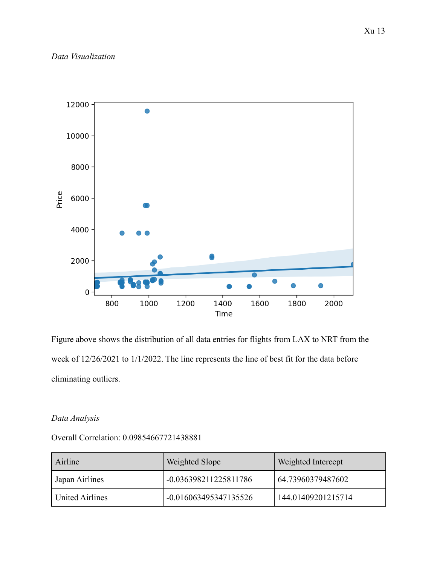

Figure above shows the distribution of all data entries for flights from LAX to NRT from the week of 12/26/2021 to 1/1/2022. The line represents the line of best fit for the data before eliminating outliers.

## *Data Analysis*

## Overall Correlation: 0.09854667721438881

| Airline         | Weighted Slope        | Weighted Intercept |
|-----------------|-----------------------|--------------------|
| Japan Airlines  | -0.036398211225811786 | 64.73960379487602  |
| United Airlines | -0.016063495347135526 | 144.01409201215714 |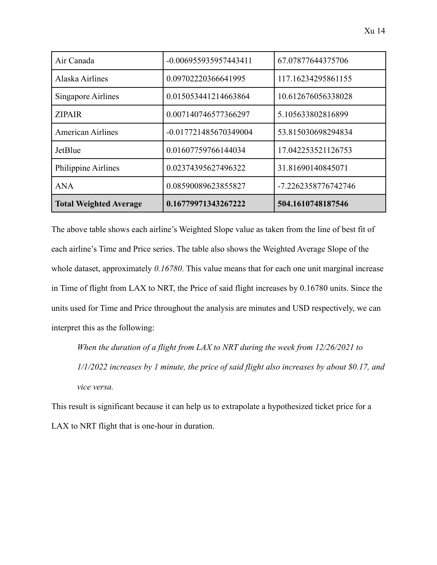| Air Canada                    | -0.006955935957443411 | 67.07877644375706   |
|-------------------------------|-----------------------|---------------------|
| Alaska Airlines               | 0.09702220366641995   | 117.16234295861155  |
| <b>Singapore Airlines</b>     | 0.015053441214663864  | 10.612676056338028  |
| <b>ZIPAIR</b>                 | 0.007140746577366297  | 5.105633802816899   |
| <b>American Airlines</b>      | -0.017721485670349004 | 53.815030698294834  |
| JetBlue                       | 0.01607759766144034   | 17.042253521126753  |
| Philippine Airlines           | 0.02374395627496322   | 31.81690140845071   |
| <b>ANA</b>                    | 0.08590089623855827   | -7.2262358776742746 |
| <b>Total Weighted Average</b> | 0.16779971343267222   | 504.1610748187546   |

The above table shows each airline's Weighted Slope value as taken from the line of best fit of each airline's Time and Price series. The table also shows the Weighted Average Slope of the whole dataset, approximately *0.16780*. This value means that for each one unit marginal increase in Time of flight from LAX to NRT, the Price of said flight increases by 0.16780 units. Since the units used for Time and Price throughout the analysis are minutes and USD respectively, we can interpret this as the following:

*When the duration of a flight from LAX to NRT during the week from 12/26/2021 to 1/1/2022 increases by 1 minute, the price of said flight also increases by about \$0.17, and vice versa.*

This result is significant because it can help us to extrapolate a hypothesized ticket price for a LAX to NRT flight that is one-hour in duration.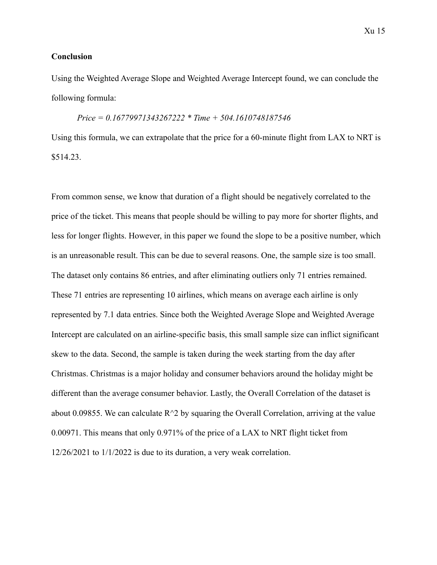#### **Conclusion**

Using the Weighted Average Slope and Weighted Average Intercept found, we can conclude the following formula:

### *Price = 0.16779971343267222 \* Time + 504.1610748187546*

Using this formula, we can extrapolate that the price for a 60-minute flight from LAX to NRT is \$514.23.

From common sense, we know that duration of a flight should be negatively correlated to the price of the ticket. This means that people should be willing to pay more for shorter flights, and less for longer flights. However, in this paper we found the slope to be a positive number, which is an unreasonable result. This can be due to several reasons. One, the sample size is too small. The dataset only contains 86 entries, and after eliminating outliers only 71 entries remained. These 71 entries are representing 10 airlines, which means on average each airline is only represented by 7.1 data entries. Since both the Weighted Average Slope and Weighted Average Intercept are calculated on an airline-specific basis, this small sample size can inflict significant skew to the data. Second, the sample is taken during the week starting from the day after Christmas. Christmas is a major holiday and consumer behaviors around the holiday might be different than the average consumer behavior. Lastly, the Overall Correlation of the dataset is about 0.09855. We can calculate  $R^2$  by squaring the Overall Correlation, arriving at the value 0.00971. This means that only 0.971% of the price of a LAX to NRT flight ticket from 12/26/2021 to 1/1/2022 is due to its duration, a very weak correlation.